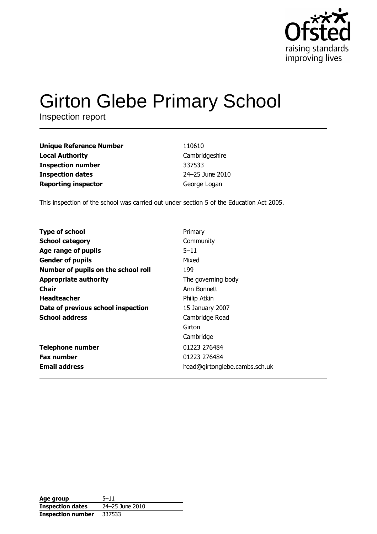

# **Girton Glebe Primary School**

Inspection report

| Unique Reference Number    | 110610          |
|----------------------------|-----------------|
| Local Authority            | Cambridgeshire  |
| Inspection number          | 337533          |
| <b>Inspection dates</b>    | 24-25 June 2010 |
| <b>Reporting inspector</b> | George Logan    |

This inspection of the school was carried out under section 5 of the Education Act 2005.

| <b>Type of school</b>               | Primary                       |
|-------------------------------------|-------------------------------|
| <b>School category</b>              | Community                     |
| Age range of pupils                 | $5 - 11$                      |
| <b>Gender of pupils</b>             | Mixed                         |
| Number of pupils on the school roll | 199                           |
| <b>Appropriate authority</b>        | The governing body            |
| Chair                               | Ann Bonnett                   |
| <b>Headteacher</b>                  | Philip Atkin                  |
| Date of previous school inspection  | 15 January 2007               |
| <b>School address</b>               | Cambridge Road                |
|                                     | Girton                        |
|                                     | Cambridge                     |
| <b>Telephone number</b>             | 01223 276484                  |
| <b>Fax number</b>                   | 01223 276484                  |
| <b>Email address</b>                | head@girtonglebe.cambs.sch.uk |

| Age group                | $5 - 11$        |
|--------------------------|-----------------|
| <b>Inspection dates</b>  | 24-25 June 2010 |
| <b>Inspection number</b> | 337533          |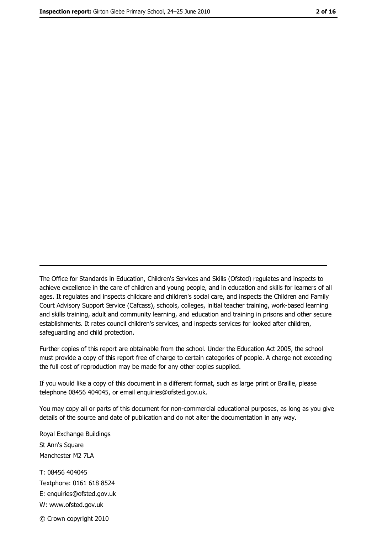The Office for Standards in Education, Children's Services and Skills (Ofsted) regulates and inspects to achieve excellence in the care of children and young people, and in education and skills for learners of all ages. It regulates and inspects childcare and children's social care, and inspects the Children and Family Court Advisory Support Service (Cafcass), schools, colleges, initial teacher training, work-based learning and skills training, adult and community learning, and education and training in prisons and other secure establishments. It rates council children's services, and inspects services for looked after children, safequarding and child protection.

Further copies of this report are obtainable from the school. Under the Education Act 2005, the school must provide a copy of this report free of charge to certain categories of people. A charge not exceeding the full cost of reproduction may be made for any other copies supplied.

If you would like a copy of this document in a different format, such as large print or Braille, please telephone 08456 404045, or email enquiries@ofsted.gov.uk.

You may copy all or parts of this document for non-commercial educational purposes, as long as you give details of the source and date of publication and do not alter the documentation in any way.

Royal Exchange Buildings St Ann's Square Manchester M2 7LA T: 08456 404045 Textphone: 0161 618 8524 E: enquiries@ofsted.gov.uk W: www.ofsted.gov.uk © Crown copyright 2010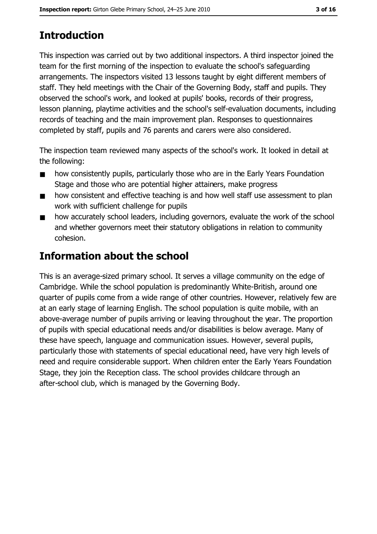# **Introduction**

This inspection was carried out by two additional inspectors. A third inspector joined the team for the first morning of the inspection to evaluate the school's safeguarding arrangements. The inspectors visited 13 lessons taught by eight different members of staff. They held meetings with the Chair of the Governing Body, staff and pupils. They observed the school's work, and looked at pupils' books, records of their progress, lesson planning, playtime activities and the school's self-evaluation documents, including records of teaching and the main improvement plan. Responses to questionnaires completed by staff, pupils and 76 parents and carers were also considered.

The inspection team reviewed many aspects of the school's work. It looked in detail at the following:

- how consistently pupils, particularly those who are in the Early Years Foundation  $\blacksquare$ Stage and those who are potential higher attainers, make progress
- how consistent and effective teaching is and how well staff use assessment to plan  $\blacksquare$ work with sufficient challenge for pupils
- how accurately school leaders, including governors, evaluate the work of the school  $\blacksquare$ and whether governors meet their statutory obligations in relation to community cohesion.

# **Information about the school**

This is an average-sized primary school. It serves a village community on the edge of Cambridge. While the school population is predominantly White-British, around one quarter of pupils come from a wide range of other countries. However, relatively few are at an early stage of learning English. The school population is quite mobile, with an above-average number of pupils arriving or leaving throughout the year. The proportion of pupils with special educational needs and/or disabilities is below average. Many of these have speech, language and communication issues. However, several pupils, particularly those with statements of special educational need, have very high levels of need and require considerable support. When children enter the Early Years Foundation Stage, they join the Reception class. The school provides childcare through an after-school club, which is managed by the Governing Body.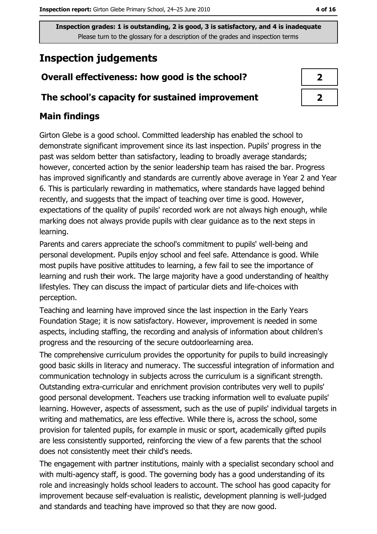# **Inspection judgements**

# Overall effectiveness: how good is the school?

### The school's capacity for sustained improvement

# **Main findings**

Girton Glebe is a good school. Committed leadership has enabled the school to demonstrate significant improvement since its last inspection. Pupils' progress in the past was seldom better than satisfactory, leading to broadly average standards; however, concerted action by the senior leadership team has raised the bar. Progress has improved significantly and standards are currently above average in Year 2 and Year 6. This is particularly rewarding in mathematics, where standards have lagged behind recently, and suggests that the impact of teaching over time is good. However, expectations of the quality of pupils' recorded work are not always high enough, while marking does not always provide pupils with clear guidance as to the next steps in learning.

Parents and carers appreciate the school's commitment to pupils' well-being and personal development. Pupils enjoy school and feel safe. Attendance is good. While most pupils have positive attitudes to learning, a few fail to see the importance of learning and rush their work. The large majority have a good understanding of healthy lifestyles. They can discuss the impact of particular diets and life-choices with perception.

Teaching and learning have improved since the last inspection in the Early Years Foundation Stage; it is now satisfactory. However, improvement is needed in some aspects, including staffing, the recording and analysis of information about children's progress and the resourcing of the secure outdoorlearning area.

The comprehensive curriculum provides the opportunity for pupils to build increasingly good basic skills in literacy and numeracy. The successful integration of information and communication technology in subjects across the curriculum is a significant strength. Outstanding extra-curricular and enrichment provision contributes very well to pupils' good personal development. Teachers use tracking information well to evaluate pupils' learning. However, aspects of assessment, such as the use of pupils' individual targets in writing and mathematics, are less effective. While there is, across the school, some provision for talented pupils, for example in music or sport, academically gifted pupils are less consistently supported, reinforcing the view of a few parents that the school does not consistently meet their child's needs.

The engagement with partner institutions, mainly with a specialist secondary school and with multi-agency staff, is good. The governing body has a good understanding of its role and increasingly holds school leaders to account. The school has good capacity for improvement because self-evaluation is realistic, development planning is well-judged and standards and teaching have improved so that they are now good.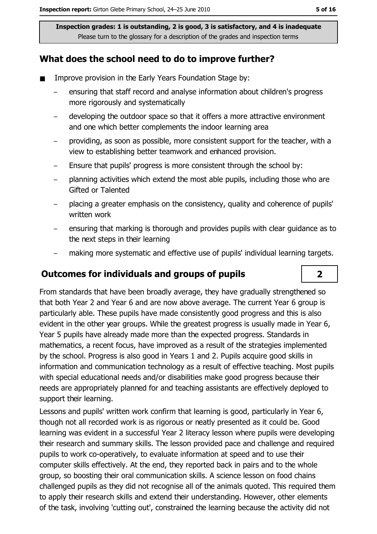## What does the school need to do to improve further?

- $\blacksquare$ Improve provision in the Early Years Foundation Stage by:
	- ensuring that staff record and analyse information about children's progress more rigorously and systematically
	- developing the outdoor space so that it offers a more attractive environment and one which better complements the indoor learning area
	- providing, as soon as possible, more consistent support for the teacher, with a view to establishing better teamwork and enhanced provision.
	- Ensure that pupils' progress is more consistent through the school by:  $\equiv$
	- planning activities which extend the most able pupils, including those who are Gifted or Talented
	- placing a greater emphasis on the consistency, quality and coherence of pupils' written work
	- ensuring that marking is thorough and provides pupils with clear guidance as to the next steps in their learning
	- making more systematic and effective use of pupils' individual learning targets.

### **Outcomes for individuals and groups of pupils**

From standards that have been broadly average, they have gradually strengthened so that both Year 2 and Year 6 and are now above average. The current Year 6 group is particularly able. These pupils have made consistently good progress and this is also evident in the other year groups. While the greatest progress is usually made in Year 6, Year 5 pupils have already made more than the expected progress. Standards in mathematics, a recent focus, have improved as a result of the strategies implemented by the school. Progress is also good in Years 1 and 2. Pupils acquire good skills in information and communication technology as a result of effective teaching. Most pupils with special educational needs and/or disabilities make good progress because their needs are appropriately planned for and teaching assistants are effectively deployed to support their learning.

Lessons and pupils' written work confirm that learning is good, particularly in Year 6, though not all recorded work is as rigorous or neatly presented as it could be. Good learning was evident in a successful Year 2 literacy lesson where pupils were developing their research and summary skills. The lesson provided pace and challenge and required pupils to work co-operatively, to evaluate information at speed and to use their computer skills effectively. At the end, they reported back in pairs and to the whole group, so boosting their oral communication skills. A science lesson on food chains challenged pupils as they did not recognise all of the animals guoted. This required them to apply their research skills and extend their understanding. However, other elements of the task, involving 'cutting out', constrained the learning because the activity did not

 $\overline{2}$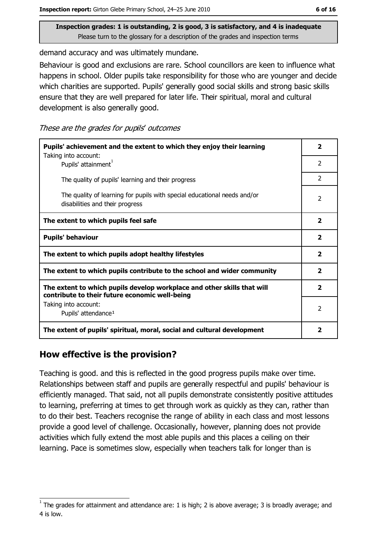demand accuracy and was ultimately mundane.

Behaviour is good and exclusions are rare. School councillors are keen to influence what happens in school. Older pupils take responsibility for those who are younger and decide which charities are supported. Pupils' generally good social skills and strong basic skills ensure that they are well prepared for later life. Their spiritual, moral and cultural development is also generally good.

These are the grades for pupils' outcomes

| Pupils' achievement and the extent to which they enjoy their learning                                                     |                |
|---------------------------------------------------------------------------------------------------------------------------|----------------|
| Taking into account:<br>Pupils' attainment <sup>1</sup>                                                                   | $\overline{2}$ |
| The quality of pupils' learning and their progress                                                                        | $\mathcal{P}$  |
| The quality of learning for pupils with special educational needs and/or<br>disabilities and their progress               | $\overline{2}$ |
| The extent to which pupils feel safe                                                                                      |                |
| <b>Pupils' behaviour</b>                                                                                                  |                |
| The extent to which pupils adopt healthy lifestyles                                                                       |                |
| The extent to which pupils contribute to the school and wider community                                                   |                |
| The extent to which pupils develop workplace and other skills that will<br>contribute to their future economic well-being |                |
| Taking into account:<br>Pupils' attendance <sup>1</sup>                                                                   | $\overline{2}$ |
| The extent of pupils' spiritual, moral, social and cultural development                                                   |                |

### How effective is the provision?

Teaching is good, and this is reflected in the good progress pupils make over time. Relationships between staff and pupils are generally respectful and pupils' behaviour is efficiently managed. That said, not all pupils demonstrate consistently positive attitudes to learning, preferring at times to get through work as guickly as they can, rather than to do their best. Teachers recognise the range of ability in each class and most lessons provide a good level of challenge. Occasionally, however, planning does not provide activities which fully extend the most able pupils and this places a ceiling on their learning. Pace is sometimes slow, especially when teachers talk for longer than is

The grades for attainment and attendance are: 1 is high; 2 is above average; 3 is broadly average; and 4 is low.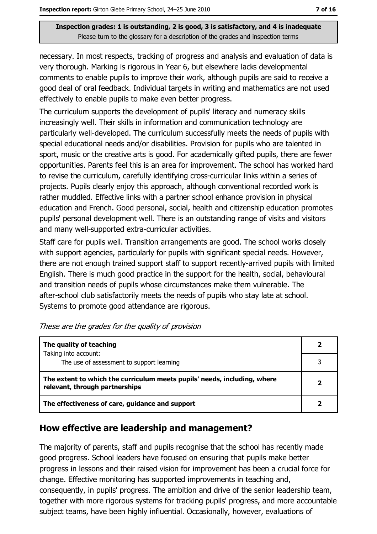necessary. In most respects, tracking of progress and analysis and evaluation of data is very thorough. Marking is rigorous in Year 6, but elsewhere lacks developmental comments to enable pupils to improve their work, although pupils are said to receive a good deal of oral feedback. Individual targets in writing and mathematics are not used effectively to enable pupils to make even better progress.

The curriculum supports the development of pupils' literacy and numeracy skills increasingly well. Their skills in information and communication technology are particularly well-developed. The curriculum successfully meets the needs of pupils with special educational needs and/or disabilities. Provision for pupils who are talented in sport, music or the creative arts is good. For academically gifted pupils, there are fewer opportunities. Parents feel this is an area for improvement. The school has worked hard to revise the curriculum, carefully identifying cross-curricular links within a series of projects. Pupils clearly enjoy this approach, although conventional recorded work is rather muddled. Effective links with a partner school enhance provision in physical education and French. Good personal, social, health and citizenship education promotes pupils' personal development well. There is an outstanding range of visits and visitors and many well-supported extra-curricular activities.

Staff care for pupils well. Transition arrangements are good. The school works closely with support agencies, particularly for pupils with significant special needs. However, there are not enough trained support staff to support recently-arrived pupils with limited English. There is much good practice in the support for the health, social, behavioural and transition needs of pupils whose circumstances make them vulnerable. The after-school club satisfactorily meets the needs of pupils who stay late at school. Systems to promote good attendance are rigorous.

| The quality of teaching                                                                                    |  |
|------------------------------------------------------------------------------------------------------------|--|
| Taking into account:<br>The use of assessment to support learning                                          |  |
| The extent to which the curriculum meets pupils' needs, including, where<br>relevant, through partnerships |  |
| The effectiveness of care, guidance and support                                                            |  |

### How effective are leadership and management?

The majority of parents, staff and pupils recognise that the school has recently made good progress. School leaders have focused on ensuring that pupils make better progress in lessons and their raised vision for improvement has been a crucial force for change. Effective monitoring has supported improvements in teaching and, consequently, in pupils' progress. The ambition and drive of the senior leadership team, together with more rigorous systems for tracking pupils' progress, and more accountable subject teams, have been highly influential. Occasionally, however, evaluations of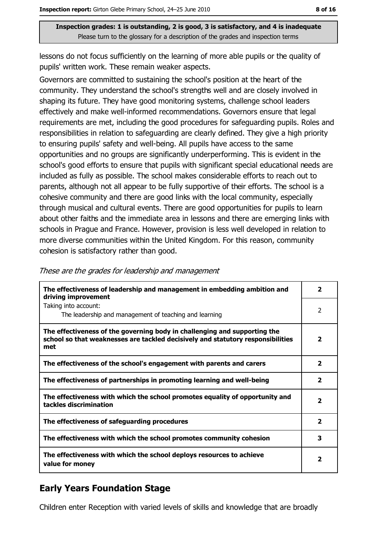lessons do not focus sufficiently on the learning of more able pupils or the quality of pupils' written work. These remain weaker aspects.

Governors are committed to sustaining the school's position at the heart of the community. They understand the school's strengths well and are closely involved in shaping its future. They have good monitoring systems, challenge school leaders effectively and make well-informed recommendations. Governors ensure that legal requirements are met, including the good procedures for safeguarding pupils. Roles and responsibilities in relation to safeguarding are clearly defined. They give a high priority to ensuring pupils' safety and well-being. All pupils have access to the same opportunities and no groups are significantly underperforming. This is evident in the school's good efforts to ensure that pupils with significant special educational needs are included as fully as possible. The school makes considerable efforts to reach out to parents, although not all appear to be fully supportive of their efforts. The school is a cohesive community and there are good links with the local community, especially through musical and cultural events. There are good opportunities for pupils to learn about other faiths and the immediate area in lessons and there are emerging links with schools in Prague and France. However, provision is less well developed in relation to more diverse communities within the United Kingdom. For this reason, community cohesion is satisfactory rather than good.

| The effectiveness of leadership and management in embedding ambition and<br>driving improvement                                                                     | 2                       |
|---------------------------------------------------------------------------------------------------------------------------------------------------------------------|-------------------------|
| Taking into account:<br>The leadership and management of teaching and learning                                                                                      | $\overline{2}$          |
| The effectiveness of the governing body in challenging and supporting the<br>school so that weaknesses are tackled decisively and statutory responsibilities<br>met | 2                       |
| The effectiveness of the school's engagement with parents and carers                                                                                                | $\mathbf{2}$            |
| The effectiveness of partnerships in promoting learning and well-being                                                                                              | $\mathbf{2}$            |
| The effectiveness with which the school promotes equality of opportunity and<br>tackles discrimination                                                              | $\overline{\mathbf{2}}$ |
| The effectiveness of safeguarding procedures                                                                                                                        | $\overline{2}$          |
| The effectiveness with which the school promotes community cohesion                                                                                                 | 3                       |
| The effectiveness with which the school deploys resources to achieve<br>value for money                                                                             | 2                       |
|                                                                                                                                                                     |                         |

#### These are the grades for leadership and management

# **Early Years Foundation Stage**

Children enter Reception with varied levels of skills and knowledge that are broadly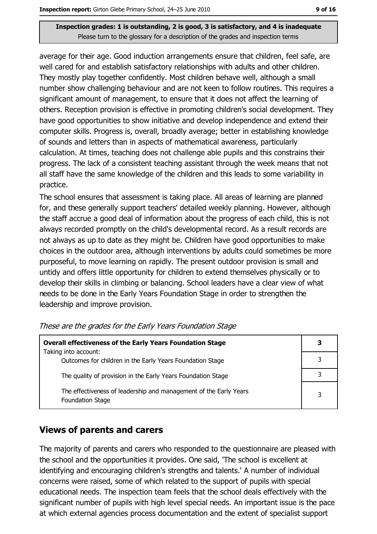average for their age. Good induction arrangements ensure that children, feel safe, are well cared for and establish satisfactory relationships with adults and other children. They mostly play together confidently. Most children behave well, although a small number show challenging behaviour and are not keen to follow routines. This requires a significant amount of management, to ensure that it does not affect the learning of others. Reception provision is effective in promoting children's social development. They have good opportunities to show initiative and develop independence and extend their computer skills. Progress is, overall, broadly average; better in establishing knowledge of sounds and letters than in aspects of mathematical awareness, particularly calculation. At times, teaching does not challenge able pupils and this constrains their progress. The lack of a consistent teaching assistant through the week means that not all staff have the same knowledge of the children and this leads to some variability in practice.

The school ensures that assessment is taking place. All areas of learning are planned for, and these generally support teachers' detailed weekly planning. However, although the staff accrue a good deal of information about the progress of each child, this is not always recorded promptly on the child's developmental record. As a result records are not always as up to date as they might be. Children have good opportunities to make choices in the outdoor area, although interventions by adults could sometimes be more purposeful, to move learning on rapidly. The present outdoor provision is small and untidy and offers little opportunity for children to extend themselves physically or to develop their skills in climbing or balancing. School leaders have a clear view of what needs to be done in the Early Years Foundation Stage in order to strengthen the leadership and improve provision.

| <b>Overall effectiveness of the Early Years Foundation Stage</b>                      | З |
|---------------------------------------------------------------------------------------|---|
| Taking into account:<br>Outcomes for children in the Early Years Foundation Stage     |   |
| The quality of provision in the Early Years Foundation Stage                          |   |
| The effectiveness of leadership and management of the Early Years<br>Foundation Stage | 3 |

These are the grades for the Early Years Foundation Stage

### **Views of parents and carers**

The majority of parents and carers who responded to the questionnaire are pleased with the school and the opportunities it provides. One said, 'The school is excellent at identifying and encouraging children's strengths and talents.' A number of individual concerns were raised, some of which related to the support of pupils with special educational needs. The inspection team feels that the school deals effectively with the significant number of pupils with high level special needs. An important issue is the pace at which external agencies process documentation and the extent of specialist support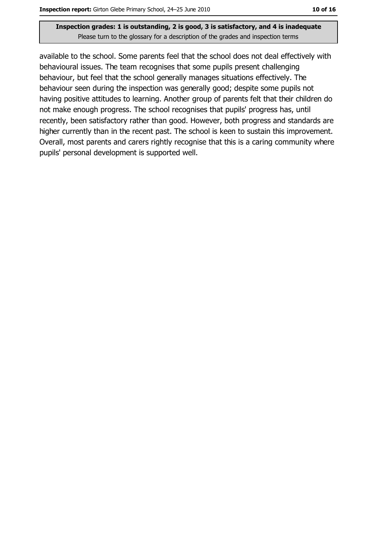available to the school. Some parents feel that the school does not deal effectively with behavioural issues. The team recognises that some pupils present challenging behaviour, but feel that the school generally manages situations effectively. The behaviour seen during the inspection was generally good; despite some pupils not having positive attitudes to learning. Another group of parents felt that their children do not make enough progress. The school recognises that pupils' progress has, until recently, been satisfactory rather than good. However, both progress and standards are higher currently than in the recent past. The school is keen to sustain this improvement. Overall, most parents and carers rightly recognise that this is a caring community where pupils' personal development is supported well.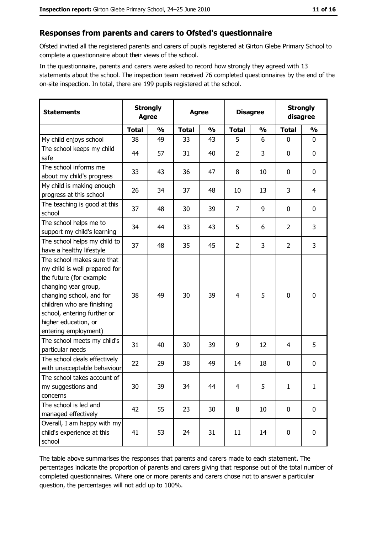#### Responses from parents and carers to Ofsted's questionnaire

Ofsted invited all the registered parents and carers of pupils registered at Girton Glebe Primary School to complete a questionnaire about their views of the school.

In the questionnaire, parents and carers were asked to record how strongly they agreed with 13 statements about the school. The inspection team received 76 completed questionnaires by the end of the on-site inspection. In total, there are 199 pupils registered at the school.

| <b>Statements</b>                                                                                                                                                                                                                                       | <b>Strongly</b><br><b>Agree</b> |               | <b>Agree</b> |               | <b>Disagree</b> |               | <b>Strongly</b><br>disagree |                |
|---------------------------------------------------------------------------------------------------------------------------------------------------------------------------------------------------------------------------------------------------------|---------------------------------|---------------|--------------|---------------|-----------------|---------------|-----------------------------|----------------|
|                                                                                                                                                                                                                                                         | <b>Total</b>                    | $\frac{1}{2}$ | <b>Total</b> | $\frac{1}{2}$ | <b>Total</b>    | $\frac{1}{2}$ | <b>Total</b>                | $\frac{1}{2}$  |
| My child enjoys school                                                                                                                                                                                                                                  | 38                              | 49            | 33           | 43            | 5               | 6             | $\mathbf 0$                 | 0              |
| The school keeps my child<br>safe                                                                                                                                                                                                                       | 44                              | 57            | 31           | 40            | $\overline{2}$  | 3             | 0                           | 0              |
| The school informs me<br>about my child's progress                                                                                                                                                                                                      | 33                              | 43            | 36           | 47            | 8               | 10            | $\mathbf 0$                 | 0              |
| My child is making enough<br>progress at this school                                                                                                                                                                                                    | 26                              | 34            | 37           | 48            | 10              | 13            | 3                           | $\overline{4}$ |
| The teaching is good at this<br>school                                                                                                                                                                                                                  | 37                              | 48            | 30           | 39            | 7               | 9             | $\mathbf 0$                 | 0              |
| The school helps me to<br>support my child's learning                                                                                                                                                                                                   | 34                              | 44            | 33           | 43            | 5               | 6             | $\overline{2}$              | 3              |
| The school helps my child to<br>have a healthy lifestyle                                                                                                                                                                                                | 37                              | 48            | 35           | 45            | $\overline{2}$  | 3             | $\overline{2}$              | 3              |
| The school makes sure that<br>my child is well prepared for<br>the future (for example<br>changing year group,<br>changing school, and for<br>children who are finishing<br>school, entering further or<br>higher education, or<br>entering employment) | 38                              | 49            | 30           | 39            | $\overline{4}$  | 5             | 0                           | 0              |
| The school meets my child's<br>particular needs                                                                                                                                                                                                         | 31                              | 40            | 30           | 39            | 9               | 12            | 4                           | 5              |
| The school deals effectively<br>with unacceptable behaviour                                                                                                                                                                                             | 22                              | 29            | 38           | 49            | 14              | 18            | 0                           | 0              |
| The school takes account of<br>my suggestions and<br>concerns                                                                                                                                                                                           | 30                              | 39            | 34           | 44            | $\overline{4}$  | 5             | $\mathbf{1}$                | $\mathbf{1}$   |
| The school is led and<br>managed effectively                                                                                                                                                                                                            | 42                              | 55            | 23           | 30            | 8               | 10            | $\bf{0}$                    | 0              |
| Overall, I am happy with my<br>child's experience at this<br>school                                                                                                                                                                                     | 41                              | 53            | 24           | 31            | 11              | 14            | 0                           | 0              |

The table above summarises the responses that parents and carers made to each statement. The percentages indicate the proportion of parents and carers giving that response out of the total number of completed questionnaires. Where one or more parents and carers chose not to answer a particular question, the percentages will not add up to 100%.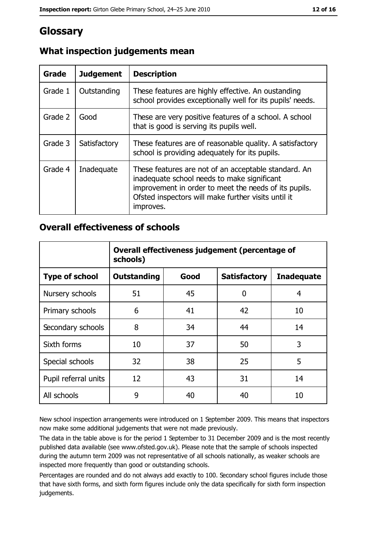# Glossary

| <b>Grade</b> | <b>Judgement</b> | <b>Description</b>                                                                                                                                                                                                               |
|--------------|------------------|----------------------------------------------------------------------------------------------------------------------------------------------------------------------------------------------------------------------------------|
| Grade 1      | Outstanding      | These features are highly effective. An oustanding<br>school provides exceptionally well for its pupils' needs.                                                                                                                  |
| Grade 2      | Good             | These are very positive features of a school. A school<br>that is good is serving its pupils well.                                                                                                                               |
| Grade 3      | Satisfactory     | These features are of reasonable quality. A satisfactory<br>school is providing adequately for its pupils.                                                                                                                       |
| Grade 4      | Inadequate       | These features are not of an acceptable standard. An<br>inadequate school needs to make significant<br>improvement in order to meet the needs of its pupils.<br>Ofsted inspectors will make further visits until it<br>improves. |

# What inspection judgements mean

## **Overall effectiveness of schools**

|                       | Overall effectiveness judgement (percentage of<br>schools) |      |                     |                   |
|-----------------------|------------------------------------------------------------|------|---------------------|-------------------|
| <b>Type of school</b> | <b>Outstanding</b>                                         | Good | <b>Satisfactory</b> | <b>Inadequate</b> |
| Nursery schools       | 51                                                         | 45   | 0                   | 4                 |
| Primary schools       | 6                                                          | 41   | 42                  | 10                |
| Secondary schools     | 8                                                          | 34   | 44                  | 14                |
| Sixth forms           | 10                                                         | 37   | 50                  | 3                 |
| Special schools       | 32                                                         | 38   | 25                  | 5                 |
| Pupil referral units  | 12                                                         | 43   | 31                  | 14                |
| All schools           | 9                                                          | 40   | 40                  | 10                |

New school inspection arrangements were introduced on 1 September 2009. This means that inspectors now make some additional judgements that were not made previously.

The data in the table above is for the period 1 September to 31 December 2009 and is the most recently published data available (see www.ofsted.gov.uk). Please note that the sample of schools inspected during the autumn term 2009 was not representative of all schools nationally, as weaker schools are inspected more frequently than good or outstanding schools.

Percentages are rounded and do not always add exactly to 100. Secondary school figures include those that have sixth forms, and sixth form figures include only the data specifically for sixth form inspection judgements.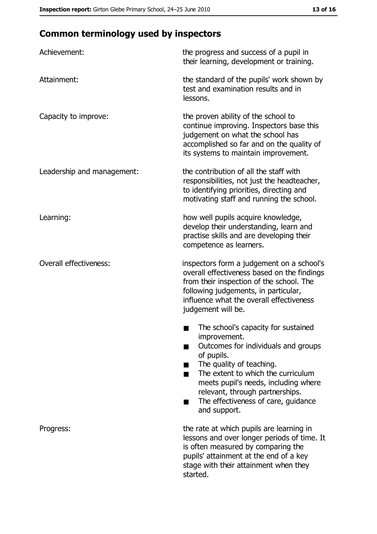# **Common terminology used by inspectors**

| Achievement:                  | the progress and success of a pupil in<br>their learning, development or training.                                                                                                                                                                                                                           |
|-------------------------------|--------------------------------------------------------------------------------------------------------------------------------------------------------------------------------------------------------------------------------------------------------------------------------------------------------------|
| Attainment:                   | the standard of the pupils' work shown by<br>test and examination results and in<br>lessons.                                                                                                                                                                                                                 |
| Capacity to improve:          | the proven ability of the school to<br>continue improving. Inspectors base this<br>judgement on what the school has<br>accomplished so far and on the quality of<br>its systems to maintain improvement.                                                                                                     |
| Leadership and management:    | the contribution of all the staff with<br>responsibilities, not just the headteacher,<br>to identifying priorities, directing and<br>motivating staff and running the school.                                                                                                                                |
| Learning:                     | how well pupils acquire knowledge,<br>develop their understanding, learn and<br>practise skills and are developing their<br>competence as learners.                                                                                                                                                          |
| <b>Overall effectiveness:</b> | inspectors form a judgement on a school's<br>overall effectiveness based on the findings<br>from their inspection of the school. The<br>following judgements, in particular,<br>influence what the overall effectiveness<br>judgement will be.                                                               |
|                               | The school's capacity for sustained<br>improvement.<br>Outcomes for individuals and groups<br>of pupils.<br>The quality of teaching.<br>The extent to which the curriculum<br>meets pupil's needs, including where<br>relevant, through partnerships.<br>The effectiveness of care, guidance<br>and support. |
| Progress:                     | the rate at which pupils are learning in<br>lessons and over longer periods of time. It<br>is often measured by comparing the<br>pupils' attainment at the end of a key<br>stage with their attainment when they<br>started.                                                                                 |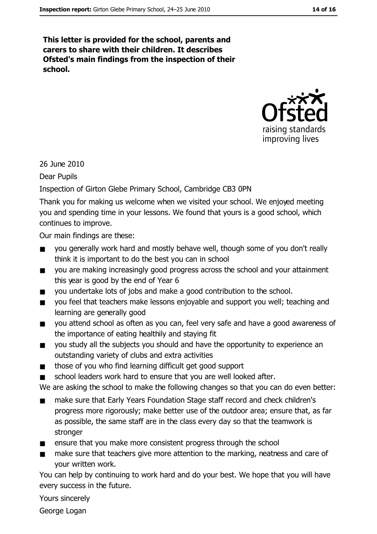This letter is provided for the school, parents and carers to share with their children. It describes Ofsted's main findings from the inspection of their school.



26 June 2010

**Dear Pupils** 

Inspection of Girton Glebe Primary School, Cambridge CB3 0PN

Thank you for making us welcome when we visited your school. We enjoyed meeting you and spending time in your lessons. We found that yours is a good school, which continues to improve.

Our main findings are these:

- you generally work hard and mostly behave well, though some of you don't really  $\blacksquare$ think it is important to do the best you can in school
- you are making increasingly good progress across the school and your attainment  $\blacksquare$ this year is good by the end of Year 6
- you undertake lots of jobs and make a good contribution to the school.  $\blacksquare$
- vou feel that teachers make lessons enjoyable and support you well; teaching and  $\blacksquare$ learning are generally good
- you attend school as often as you can, feel very safe and have a good awareness of  $\blacksquare$ the importance of eating healthily and staying fit
- you study all the subjects you should and have the opportunity to experience an  $\blacksquare$ outstanding variety of clubs and extra activities
- those of you who find learning difficult get good support  $\blacksquare$
- school leaders work hard to ensure that you are well looked after.

We are asking the school to make the following changes so that you can do even better:

- make sure that Early Years Foundation Stage staff record and check children's  $\blacksquare$ progress more rigorously; make better use of the outdoor area; ensure that, as far as possible, the same staff are in the class every day so that the teamwork is stronger
- ensure that you make more consistent progress through the school  $\blacksquare$
- $\blacksquare$ make sure that teachers give more attention to the marking, neatness and care of vour written work.

You can help by continuing to work hard and do your best. We hope that you will have every success in the future.

Yours sincerely

George Logan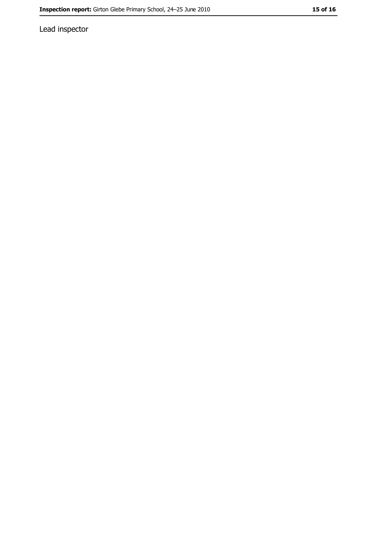Lead inspector